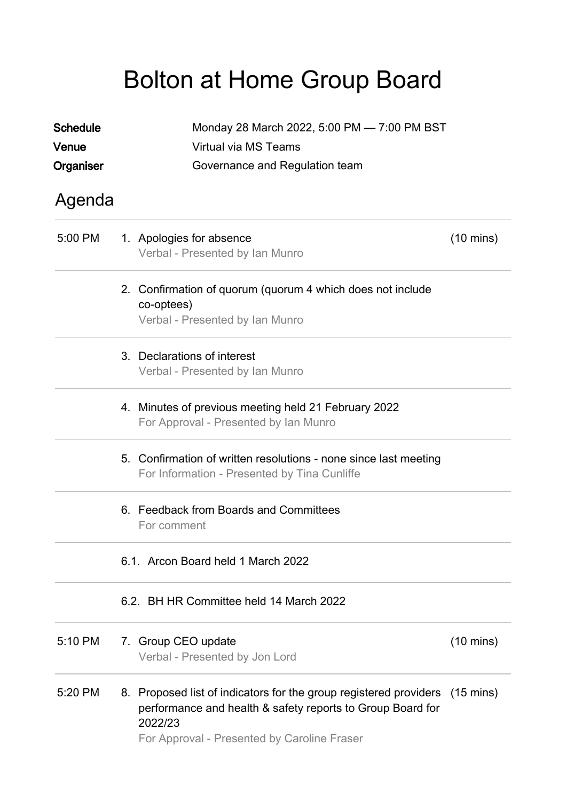## Bolton at Home Group Board

| <b>Schedule</b> | Monday 28 March 2022, 5:00 PM - 7:00 PM BST |                                                                                                                                                                                                     |                     |  |  |  |
|-----------------|---------------------------------------------|-----------------------------------------------------------------------------------------------------------------------------------------------------------------------------------------------------|---------------------|--|--|--|
| Venue           | Virtual via MS Teams                        |                                                                                                                                                                                                     |                     |  |  |  |
| Organiser       |                                             | Governance and Regulation team                                                                                                                                                                      |                     |  |  |  |
| Agenda          |                                             |                                                                                                                                                                                                     |                     |  |  |  |
| 5:00 PM         |                                             | 1. Apologies for absence<br>Verbal - Presented by Ian Munro                                                                                                                                         | $(10 \text{ mins})$ |  |  |  |
|                 |                                             | 2. Confirmation of quorum (quorum 4 which does not include<br>co-optees)<br>Verbal - Presented by Ian Munro                                                                                         |                     |  |  |  |
|                 |                                             | 3. Declarations of interest<br>Verbal - Presented by Ian Munro                                                                                                                                      |                     |  |  |  |
|                 |                                             | 4. Minutes of previous meeting held 21 February 2022<br>For Approval - Presented by Ian Munro                                                                                                       |                     |  |  |  |
|                 |                                             | 5. Confirmation of written resolutions - none since last meeting<br>For Information - Presented by Tina Cunliffe                                                                                    |                     |  |  |  |
|                 |                                             | 6. Feedback from Boards and Committees<br>For comment                                                                                                                                               |                     |  |  |  |
|                 | 6.1. Arcon Board held 1 March 2022          |                                                                                                                                                                                                     |                     |  |  |  |
|                 |                                             | 6.2. BH HR Committee held 14 March 2022                                                                                                                                                             |                     |  |  |  |
| 5:10 PM         |                                             | 7. Group CEO update<br>Verbal - Presented by Jon Lord                                                                                                                                               | $(10 \text{ mins})$ |  |  |  |
| 5:20 PM         |                                             | 8. Proposed list of indicators for the group registered providers (15 mins)<br>performance and health & safety reports to Group Board for<br>2022/23<br>For Approval - Presented by Caroline Fraser |                     |  |  |  |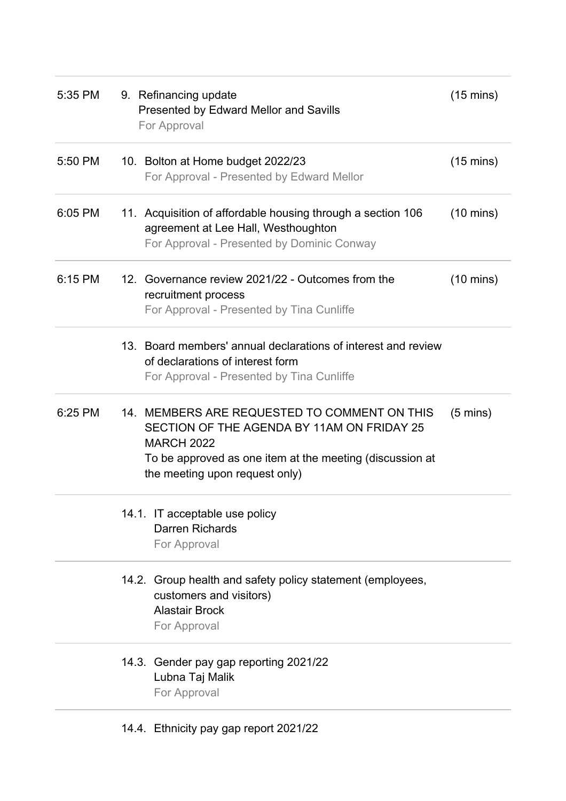| 5:35 PM | 9. Refinancing update<br>Presented by Edward Mellor and Savills<br>For Approval                                                                                                                               | $(15 \text{ mins})$ |
|---------|---------------------------------------------------------------------------------------------------------------------------------------------------------------------------------------------------------------|---------------------|
| 5:50 PM | 10. Bolton at Home budget 2022/23<br>For Approval - Presented by Edward Mellor                                                                                                                                | $(15 \text{ mins})$ |
| 6:05 PM | 11. Acquisition of affordable housing through a section 106<br>agreement at Lee Hall, Westhoughton<br>For Approval - Presented by Dominic Conway                                                              | $(10 \text{ mins})$ |
| 6:15 PM | 12. Governance review 2021/22 - Outcomes from the<br>recruitment process<br>For Approval - Presented by Tina Cunliffe                                                                                         | $(10 \text{ mins})$ |
|         | 13. Board members' annual declarations of interest and review<br>of declarations of interest form<br>For Approval - Presented by Tina Cunliffe                                                                |                     |
| 6:25 PM | 14. MEMBERS ARE REQUESTED TO COMMENT ON THIS<br>SECTION OF THE AGENDA BY 11AM ON FRIDAY 25<br><b>MARCH 2022</b><br>To be approved as one item at the meeting (discussion at<br>the meeting upon request only) | $(5 \text{ mins})$  |
|         | 14.1. IT acceptable use policy<br><b>Darren Richards</b><br>For Approval                                                                                                                                      |                     |
|         | 14.2. Group health and safety policy statement (employees,<br>customers and visitors)<br><b>Alastair Brock</b><br>For Approval                                                                                |                     |
|         | 14.3. Gender pay gap reporting 2021/22<br>Lubna Taj Malik<br>For Approval                                                                                                                                     |                     |
|         | 14.4. Ethnicity pay gap report 2021/22                                                                                                                                                                        |                     |